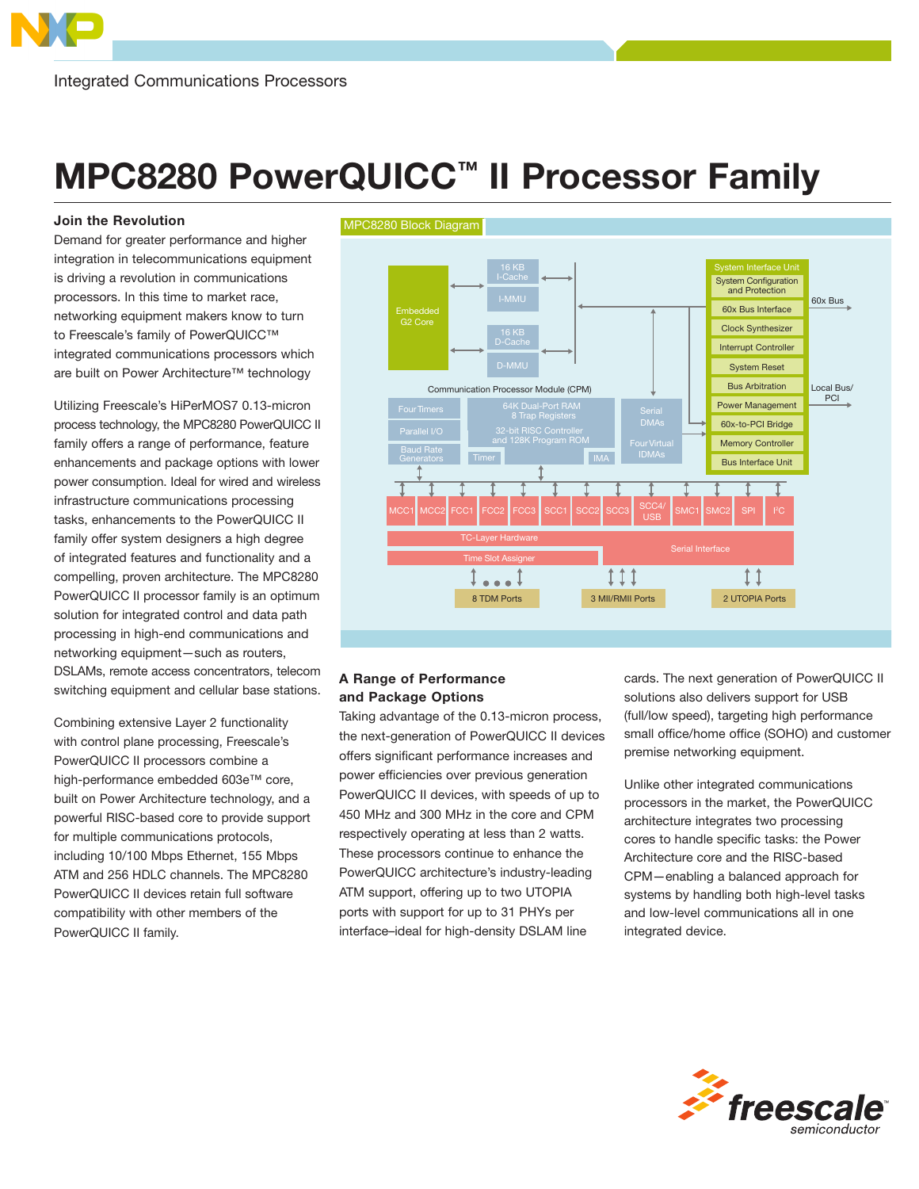## MPC8280 PowerQUICC™ II Processor Family

## Join the Revolution

Demand for greater performance and higher integration in telecommunications equipment is driving a revolution in communications processors. In this time to market race, networking equipment makers know to turn to Freescale's family of PowerQUICC™ integrated communications processors which are built on Power Architecture™ technology

Utilizing Freescale's HiPerMOS7 0.13-micron process technology, the MPC8280 PowerQUICC II family offers a range of performance, feature enhancements and package options with lower power consumption. Ideal for wired and wireless infrastructure communications processing tasks, enhancements to the PowerQUICC II family offer system designers a high degree of integrated features and functionality and a compelling, proven architecture. The MPC8280 PowerQUICC II processor family is an optimum solution for integrated control and data path processing in high-end communications and networking equipment—such as routers, DSLAMs, remote access concentrators, telecom switching equipment and cellular base stations.

Combining extensive Layer 2 functionality with control plane processing, Freescale's PowerQUICC II processors combine a high-performance embedded 603e™ core, built on Power Architecture technology, and a powerful RISC-based core to provide support for multiple communications protocols, including 10/100 Mbps Ethernet, 155 Mbps ATM and 256 HDLC channels. The MPC8280 PowerQUICC II devices retain full software compatibility with other members of the PowerQUICC II family.



## A Range of Performance and Package Options

Taking advantage of the 0.13-micron process, the next-generation of PowerQUICC II devices offers significant performance increases and power efficiencies over previous generation PowerQUICC II devices, with speeds of up to 450 MHz and 300 MHz in the core and CPM respectively operating at less than 2 watts. These processors continue to enhance the PowerQUICC architecture's industry-leading ATM support, offering up to two UTOPIA ports with support for up to 31 PHYs per interface–ideal for high-density DSLAM line

cards. The next generation of PowerQUICC II solutions also delivers support for USB (full/low speed), targeting high performance small office/home office (SOHO) and customer premise networking equipment.

Unlike other integrated communications processors in the market, the PowerQUICC architecture integrates two processing cores to handle specific tasks: the Power Architecture core and the RISC-based CPM—enabling a balanced approach for systems by handling both high-level tasks and low-level communications all in one integrated device.